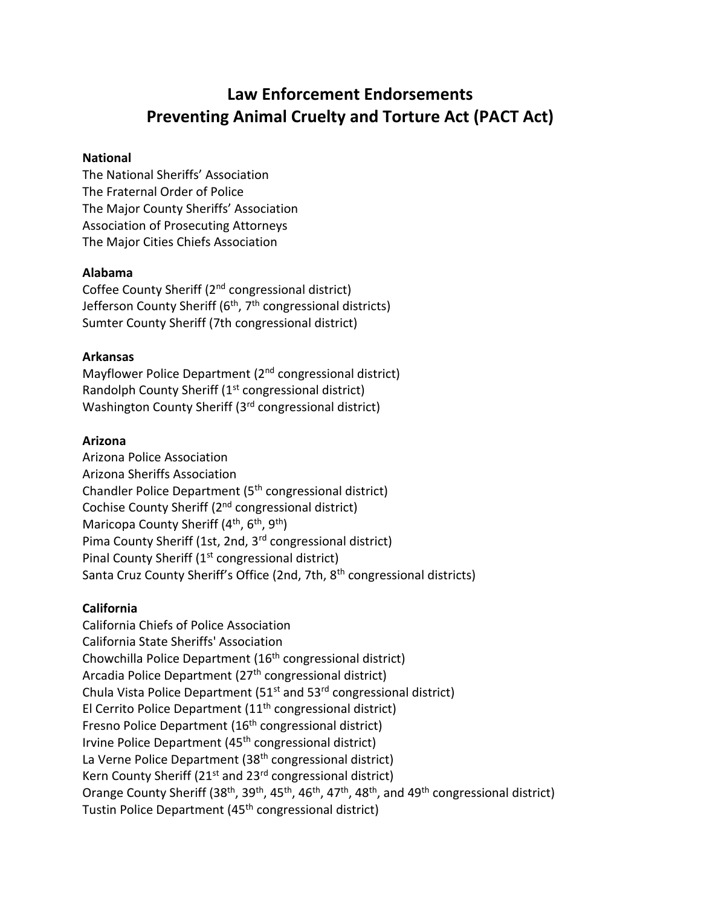# **Law Enforcement Endorsements Preventing Animal Cruelty and Torture Act (PACT Act)**

#### **National**

The National Sheriffs' Association The Fraternal Order of Police The Major County Sheriffs' Association Association of Prosecuting Attorneys The Major Cities Chiefs Association

#### **Alabama**

Coffee County Sheriff (2nd congressional district) Jefferson County Sheriff ( $6<sup>th</sup>$ ,  $7<sup>th</sup>$  congressional districts) Sumter County Sheriff (7th congressional district)

#### **Arkansas**

Mayflower Police Department (2<sup>nd</sup> congressional district) Randolph County Sheriff (1<sup>st</sup> congressional district) Washington County Sheriff (3<sup>rd</sup> congressional district)

#### **Arizona**

Arizona Police Association Arizona Sheriffs Association Chandler Police Department (5th congressional district) Cochise County Sheriff (2<sup>nd</sup> congressional district) Maricopa County Sheriff  $(4<sup>th</sup>, 6<sup>th</sup>, 9<sup>th</sup>)$ Pima County Sheriff (1st, 2nd, 3<sup>rd</sup> congressional district) Pinal County Sheriff (1<sup>st</sup> congressional district) Santa Cruz County Sheriff's Office (2nd, 7th, 8<sup>th</sup> congressional districts)

#### **California**

California Chiefs of Police Association California State Sheriffs' Association Chowchilla Police Department (16th congressional district) Arcadia Police Department (27<sup>th</sup> congressional district) Chula Vista Police Department (51<sup>st</sup> and 53<sup>rd</sup> congressional district) El Cerrito Police Department (11th congressional district) Fresno Police Department (16<sup>th</sup> congressional district) Irvine Police Department (45<sup>th</sup> congressional district) La Verne Police Department (38<sup>th</sup> congressional district) Kern County Sheriff ( $21<sup>st</sup>$  and  $23<sup>rd</sup>$  congressional district) Orange County Sheriff (38<sup>th</sup>, 39<sup>th</sup>, 45<sup>th</sup>, 46<sup>th</sup>, 47<sup>th</sup>, 48<sup>th</sup>, and 49<sup>th</sup> congressional district) Tustin Police Department (45<sup>th</sup> congressional district)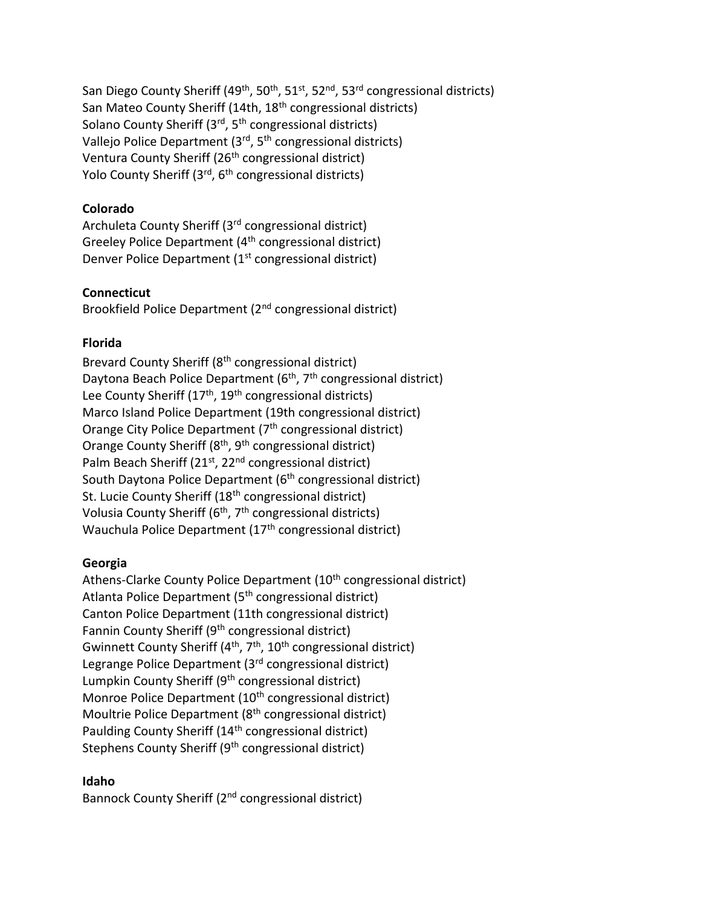San Diego County Sheriff (49<sup>th</sup>, 50<sup>th</sup>, 51<sup>st</sup>, 52<sup>nd</sup>, 53<sup>rd</sup> congressional districts) San Mateo County Sheriff (14th, 18th congressional districts) Solano County Sheriff  $(3<sup>rd</sup>, 5<sup>th</sup>$  congressional districts) Vallejo Police Department (3rd, 5th congressional districts) Ventura County Sheriff (26<sup>th</sup> congressional district) Yolo County Sheriff (3<sup>rd</sup>, 6<sup>th</sup> congressional districts)

## **Colorado**

Archuleta County Sheriff (3rd congressional district) Greeley Police Department (4th congressional district) Denver Police Department (1<sup>st</sup> congressional district)

## **Connecticut**

Brookfield Police Department (2nd congressional district)

## **Florida**

Brevard County Sheriff (8th congressional district) Daytona Beach Police Department (6<sup>th</sup>, 7<sup>th</sup> congressional district) Lee County Sheriff  $(17<sup>th</sup>, 19<sup>th</sup>$  congressional districts) Marco Island Police Department (19th congressional district) Orange City Police Department (7<sup>th</sup> congressional district) Orange County Sheriff  $(8<sup>th</sup>, 9<sup>th</sup>$  congressional district) Palm Beach Sheriff (21<sup>st</sup>, 22<sup>nd</sup> congressional district) South Daytona Police Department (6<sup>th</sup> congressional district) St. Lucie County Sheriff (18<sup>th</sup> congressional district) Volusia County Sheriff ( $6<sup>th</sup>$ ,  $7<sup>th</sup>$  congressional districts) Wauchula Police Department (17<sup>th</sup> congressional district)

#### **Georgia**

Athens-Clarke County Police Department (10<sup>th</sup> congressional district) Atlanta Police Department (5<sup>th</sup> congressional district) Canton Police Department (11th congressional district) Fannin County Sheriff (9th congressional district) Gwinnett County Sheriff ( $4<sup>th</sup>$ ,  $7<sup>th</sup>$ ,  $10<sup>th</sup>$  congressional district) Legrange Police Department (3<sup>rd</sup> congressional district) Lumpkin County Sheriff (9<sup>th</sup> congressional district) Monroe Police Department (10<sup>th</sup> congressional district) Moultrie Police Department (8<sup>th</sup> congressional district) Paulding County Sheriff (14<sup>th</sup> congressional district) Stephens County Sheriff (9<sup>th</sup> congressional district)

#### **Idaho**

Bannock County Sheriff (2<sup>nd</sup> congressional district)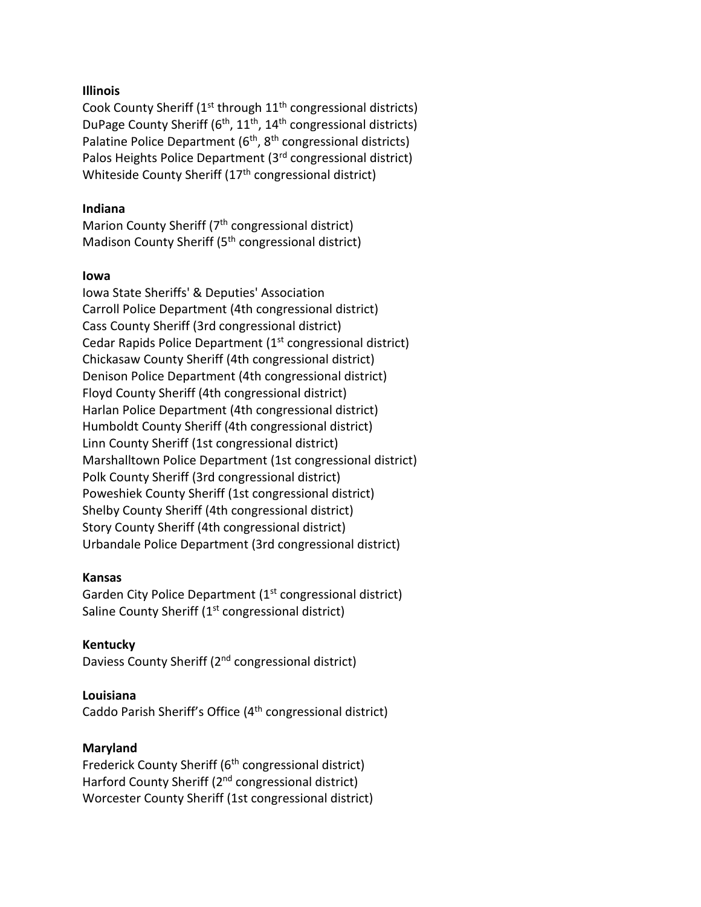### **Illinois**

Cook County Sheriff ( $1<sup>st</sup>$  through  $11<sup>th</sup>$  congressional districts) DuPage County Sheriff ( $6<sup>th</sup>$ ,  $11<sup>th</sup>$ ,  $14<sup>th</sup>$  congressional districts) Palatine Police Department  $(6<sup>th</sup>, 8<sup>th</sup>$  congressional districts) Palos Heights Police Department (3rd congressional district) Whiteside County Sheriff (17<sup>th</sup> congressional district)

## **Indiana**

Marion County Sheriff (7<sup>th</sup> congressional district) Madison County Sheriff (5th congressional district)

#### **Iowa**

Iowa State Sheriffs' & Deputies' Association Carroll Police Department (4th congressional district) Cass County Sheriff (3rd congressional district) Cedar Rapids Police Department (1<sup>st</sup> congressional district) Chickasaw County Sheriff (4th congressional district) Denison Police Department (4th congressional district) Floyd County Sheriff (4th congressional district) Harlan Police Department (4th congressional district) Humboldt County Sheriff (4th congressional district) Linn County Sheriff (1st congressional district) Marshalltown Police Department (1st congressional district) Polk County Sheriff (3rd congressional district) Poweshiek County Sheriff (1st congressional district) Shelby County Sheriff (4th congressional district) Story County Sheriff (4th congressional district) Urbandale Police Department (3rd congressional district)

#### **Kansas**

Garden City Police Department (1<sup>st</sup> congressional district) Saline County Sheriff (1<sup>st</sup> congressional district)

## **Kentucky**

Daviess County Sheriff (2<sup>nd</sup> congressional district)

# **Louisiana**

Caddo Parish Sheriff's Office (4th congressional district)

# **Maryland**

Frederick County Sheriff (6<sup>th</sup> congressional district) Harford County Sheriff (2<sup>nd</sup> congressional district) Worcester County Sheriff (1st congressional district)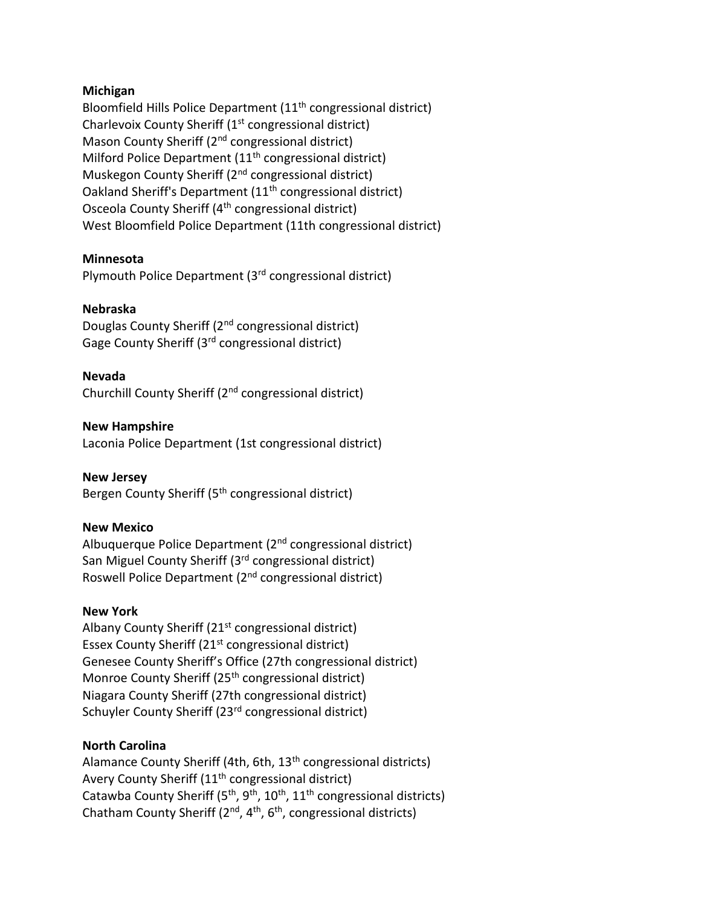### **Michigan**

Bloomfield Hills Police Department (11th congressional district) Charlevoix County Sheriff (1<sup>st</sup> congressional district) Mason County Sheriff (2<sup>nd</sup> congressional district) Milford Police Department  $(11<sup>th</sup>$  congressional district) Muskegon County Sheriff (2<sup>nd</sup> congressional district) Oakland Sheriff's Department (11th congressional district) Osceola County Sheriff (4<sup>th</sup> congressional district) West Bloomfield Police Department (11th congressional district)

## **Minnesota**

Plymouth Police Department (3rd congressional district)

## **Nebraska**

Douglas County Sheriff (2nd congressional district) Gage County Sheriff (3rd congressional district)

## **Nevada**

Churchill County Sheriff (2nd congressional district)

## **New Hampshire**

Laconia Police Department (1st congressional district)

**New Jersey** Bergen County Sheriff (5<sup>th</sup> congressional district)

#### **New Mexico**

Albuquerque Police Department (2nd congressional district) San Miguel County Sheriff (3<sup>rd</sup> congressional district) Roswell Police Department (2nd congressional district)

## **New York**

Albany County Sheriff  $(21<sup>st</sup>$  congressional district) Essex County Sheriff (21<sup>st</sup> congressional district) Genesee County Sheriff's Office (27th congressional district) Monroe County Sheriff (25<sup>th</sup> congressional district) Niagara County Sheriff (27th congressional district) Schuyler County Sheriff (23<sup>rd</sup> congressional district)

## **North Carolina**

Alamance County Sheriff (4th, 6th, 13<sup>th</sup> congressional districts) Avery County Sheriff (11<sup>th</sup> congressional district) Catawba County Sheriff (5<sup>th</sup>, 9<sup>th</sup>, 10<sup>th</sup>, 11<sup>th</sup> congressional districts) Chatham County Sheriff ( $2<sup>nd</sup>$ ,  $4<sup>th</sup>$ ,  $6<sup>th</sup>$ , congressional districts)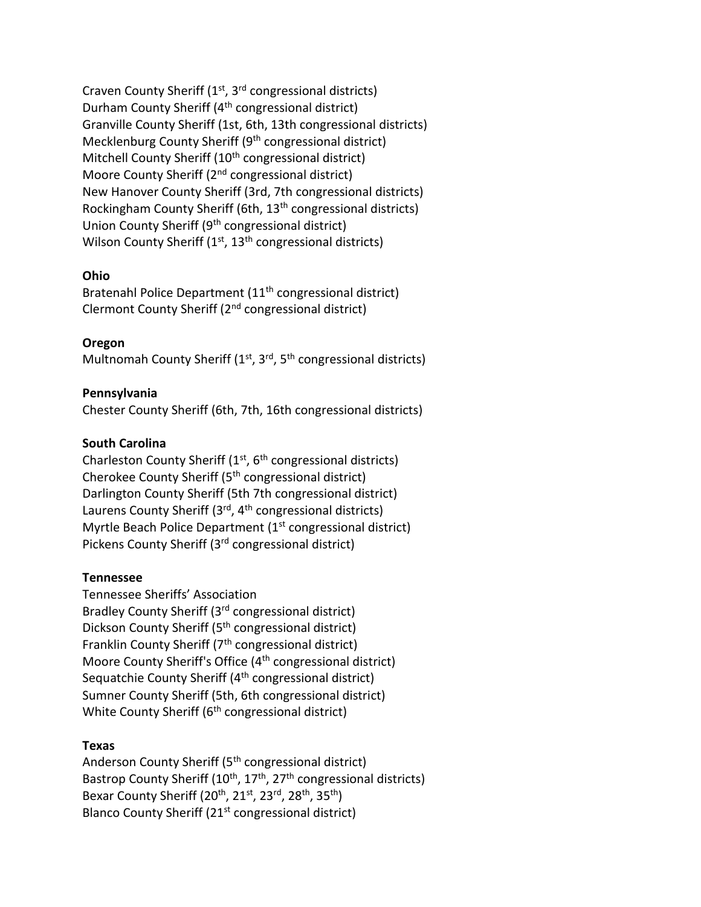Craven County Sheriff (1<sup>st</sup>, 3<sup>rd</sup> congressional districts) Durham County Sheriff (4<sup>th</sup> congressional district) Granville County Sheriff (1st, 6th, 13th congressional districts) Mecklenburg County Sheriff (9<sup>th</sup> congressional district) Mitchell County Sheriff (10<sup>th</sup> congressional district) Moore County Sheriff (2<sup>nd</sup> congressional district) New Hanover County Sheriff (3rd, 7th congressional districts) Rockingham County Sheriff (6th, 13<sup>th</sup> congressional districts) Union County Sheriff (9th congressional district) Wilson County Sheriff  $(1<sup>st</sup>, 13<sup>th</sup>$  congressional districts)

## **Ohio**

Bratenahl Police Department (11th congressional district) Clermont County Sheriff (2nd congressional district)

## **Oregon**

Multnomah County Sheriff  $(1<sup>st</sup>, 3<sup>rd</sup>, 5<sup>th</sup>$  congressional districts)

## **Pennsylvania**

Chester County Sheriff (6th, 7th, 16th congressional districts)

## **South Carolina**

Charleston County Sheriff  $(1<sup>st</sup>, 6<sup>th</sup>$  congressional districts) Cherokee County Sheriff (5th congressional district) Darlington County Sheriff (5th 7th congressional district) Laurens County Sheriff (3<sup>rd</sup>, 4<sup>th</sup> congressional districts) Myrtle Beach Police Department (1<sup>st</sup> congressional district) Pickens County Sheriff (3<sup>rd</sup> congressional district)

#### **Tennessee**

Tennessee Sheriffs' Association Bradley County Sheriff (3rd congressional district) Dickson County Sheriff (5<sup>th</sup> congressional district) Franklin County Sheriff  $(7<sup>th</sup>$  congressional district) Moore County Sheriff's Office (4<sup>th</sup> congressional district) Sequatchie County Sheriff (4<sup>th</sup> congressional district) Sumner County Sheriff (5th, 6th congressional district) White County Sheriff (6<sup>th</sup> congressional district)

#### **Texas**

Anderson County Sheriff (5<sup>th</sup> congressional district) Bastrop County Sheriff (10<sup>th</sup>, 17<sup>th</sup>, 27<sup>th</sup> congressional districts) Bexar County Sheriff (20<sup>th</sup>, 21<sup>st</sup>, 23<sup>rd</sup>, 28<sup>th</sup>, 35<sup>th</sup>) Blanco County Sheriff (21<sup>st</sup> congressional district)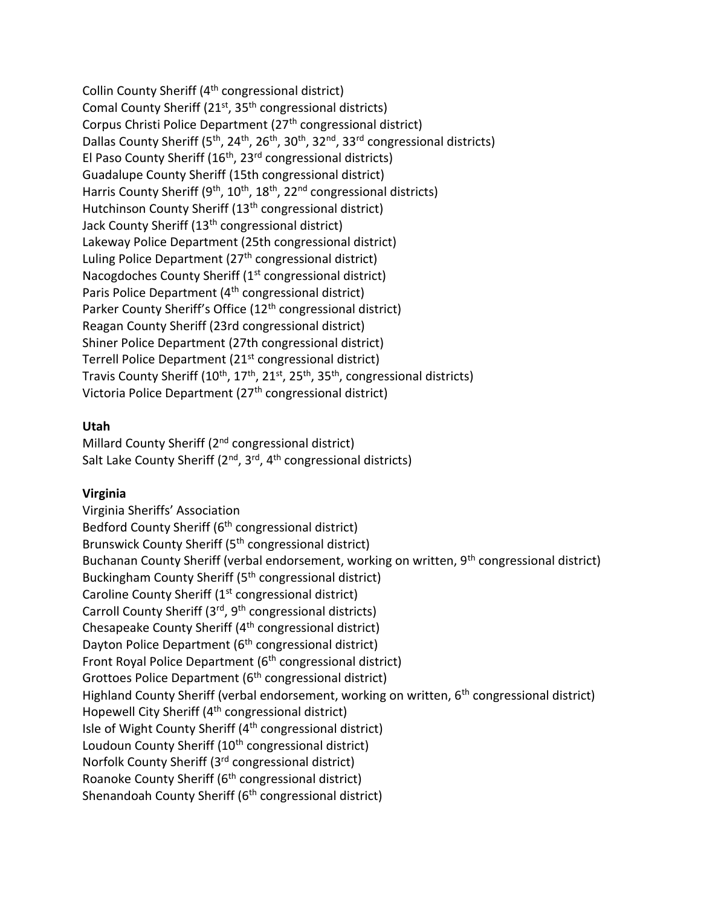Collin County Sheriff (4th congressional district) Comal County Sheriff (21<sup>st</sup>, 35<sup>th</sup> congressional districts) Corpus Christi Police Department (27<sup>th</sup> congressional district) Dallas County Sheriff (5<sup>th</sup>, 24<sup>th</sup>, 26<sup>th</sup>, 30<sup>th</sup>, 32<sup>nd</sup>, 33<sup>rd</sup> congressional districts) El Paso County Sheriff ( $16<sup>th</sup>$ , 23<sup>rd</sup> congressional districts) Guadalupe County Sheriff (15th congressional district) Harris County Sheriff ( $9<sup>th</sup>$ ,  $10<sup>th</sup>$ ,  $18<sup>th</sup>$ ,  $2<sup>nd</sup>$  congressional districts) Hutchinson County Sheriff (13<sup>th</sup> congressional district) Jack County Sheriff (13th congressional district) Lakeway Police Department (25th congressional district) Luling Police Department (27<sup>th</sup> congressional district) Nacogdoches County Sheriff (1<sup>st</sup> congressional district) Paris Police Department (4<sup>th</sup> congressional district) Parker County Sheriff's Office (12<sup>th</sup> congressional district) Reagan County Sheriff (23rd congressional district) Shiner Police Department (27th congressional district) Terrell Police Department (21st congressional district) Travis County Sheriff ( $10^{th}$ ,  $17^{th}$ ,  $21^{st}$ ,  $25^{th}$ ,  $35^{th}$ , congressional districts) Victoria Police Department (27<sup>th</sup> congressional district)

## **Utah**

Millard County Sheriff (2<sup>nd</sup> congressional district) Salt Lake County Sheriff  $(2^{nd}, 3^{rd}, 4^{th}$  congressional districts)

#### **Virginia**

Virginia Sheriffs' Association Bedford County Sheriff (6<sup>th</sup> congressional district) Brunswick County Sheriff (5th congressional district) Buchanan County Sheriff (verbal endorsement, working on written, 9<sup>th</sup> congressional district) Buckingham County Sheriff (5th congressional district) Caroline County Sheriff (1st congressional district) Carroll County Sheriff (3<sup>rd</sup>, 9<sup>th</sup> congressional districts) Chesapeake County Sheriff (4th congressional district) Dayton Police Department (6<sup>th</sup> congressional district) Front Royal Police Department (6<sup>th</sup> congressional district) Grottoes Police Department (6<sup>th</sup> congressional district) Highland County Sheriff (verbal endorsement, working on written, 6<sup>th</sup> congressional district) Hopewell City Sheriff (4<sup>th</sup> congressional district) Isle of Wight County Sheriff (4th congressional district) Loudoun County Sheriff (10<sup>th</sup> congressional district) Norfolk County Sheriff (3rd congressional district) Roanoke County Sheriff (6th congressional district) Shenandoah County Sheriff (6<sup>th</sup> congressional district)